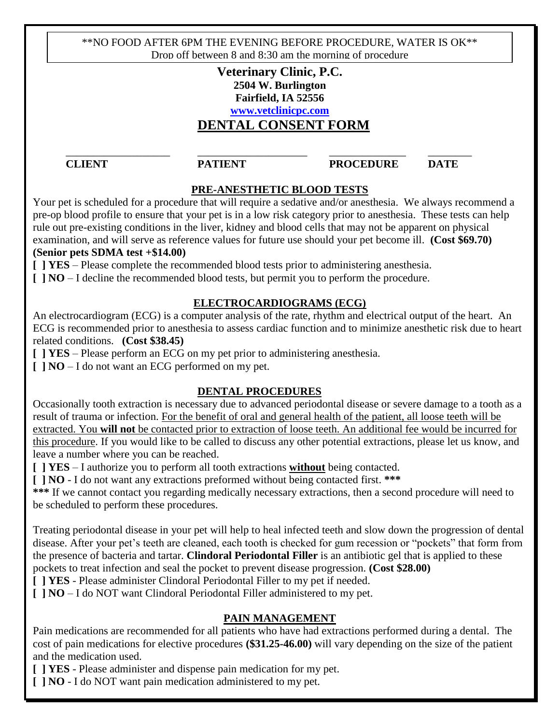\*\*NO FOOD AFTER 6PM THE EVENING BEFORE PROCEDURE, WATER IS OK\*\* Drop off between 8 and 8:30 am the morning of procedure

> **Veterinary Clinic, P.C. 2504 W. Burlington Fairfield, IA 52556 [www.vetclinicpc.com](http://www.vetclinicpc.com/) DENTAL CONSENT FORM**

#### \_\_\_\_\_\_\_\_\_\_\_\_\_\_\_\_\_\_\_ \_\_\_\_\_\_\_\_\_\_\_\_\_\_\_\_\_\_\_\_ \_\_\_\_\_\_\_\_\_\_\_\_\_\_ \_\_\_\_\_\_\_\_ **CLIENT PATIENT PROCEDURE DATE**

# **PRE-ANESTHETIC BLOOD TESTS**

Your pet is scheduled for a procedure that will require a sedative and/or anesthesia. We always recommend a pre-op blood profile to ensure that your pet is in a low risk category prior to anesthesia. These tests can help rule out pre-existing conditions in the liver, kidney and blood cells that may not be apparent on physical examination, and will serve as reference values for future use should your pet become ill. **(Cost \$69.70) (Senior pets SDMA test +\$14.00)**

**[ ] YES** – Please complete the recommended blood tests prior to administering anesthesia.

**[ ] NO** – I decline the recommended blood tests, but permit you to perform the procedure.

# **ELECTROCARDIOGRAMS (ECG)**

An electrocardiogram (ECG) is a computer analysis of the rate, rhythm and electrical output of the heart. An ECG is recommended prior to anesthesia to assess cardiac function and to minimize anesthetic risk due to heart related conditions. **(Cost \$38.45)**

**[ ] YES** – Please perform an ECG on my pet prior to administering anesthesia.

**[ ] NO** – I do not want an ECG performed on my pet.

# **DENTAL PROCEDURES**

Occasionally tooth extraction is necessary due to advanced periodontal disease or severe damage to a tooth as a result of trauma or infection. For the benefit of oral and general health of the patient, all loose teeth will be extracted. You **will not** be contacted prior to extraction of loose teeth. An additional fee would be incurred for this procedure. If you would like to be called to discuss any other potential extractions, please let us know, and leave a number where you can be reached.

**[ ] YES** – I authorize you to perform all tooth extractions **without** being contacted.

**[ ] NO** - I do not want any extractions preformed without being contacted first. **\*\*\***

**\*\*\*** If we cannot contact you regarding medically necessary extractions, then a second procedure will need to be scheduled to perform these procedures.

Treating periodontal disease in your pet will help to heal infected teeth and slow down the progression of dental disease. After your pet's teeth are cleaned, each tooth is checked for gum recession or "pockets" that form from the presence of bacteria and tartar. **Clindoral Periodontal Filler** is an antibiotic gel that is applied to these pockets to treat infection and seal the pocket to prevent disease progression. **(Cost \$28.00)**

**[ ] YES** - Please administer Clindoral Periodontal Filler to my pet if needed.

**[ ] NO** – I do NOT want Clindoral Periodontal Filler administered to my pet.

# **PAIN MANAGEMENT**

Pain medications are recommended for all patients who have had extractions performed during a dental. The cost of pain medications for elective procedures **(\$31.25-46.00)** will vary depending on the size of the patient and the medication used.

**[ ] YES** - Please administer and dispense pain medication for my pet.

**[ ] NO** - I do NOT want pain medication administered to my pet.